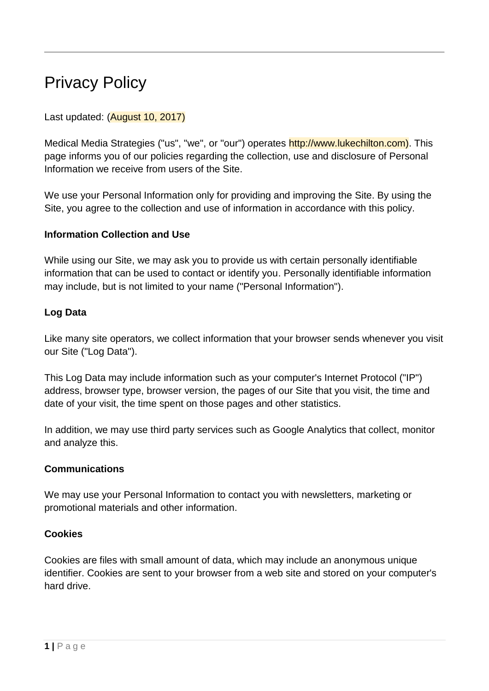# Privacy Policy

## Last updated: (August 10, 2017)

Medical Media Strategies ("us", "we", or "our") operates http://www.lukechilton.com). This page informs you of our policies regarding the collection, use and disclosure of Personal Information we receive from users of the Site.

We use your Personal Information only for providing and improving the Site. By using the Site, you agree to the collection and use of information in accordance with this policy.

## **Information Collection and Use**

While using our Site, we may ask you to provide us with certain personally identifiable information that can be used to contact or identify you. Personally identifiable information may include, but is not limited to your name ("Personal Information").

## **Log Data**

Like many site operators, we collect information that your browser sends whenever you visit our Site ("Log Data").

This Log Data may include information such as your computer's Internet Protocol ("IP") address, browser type, browser version, the pages of our Site that you visit, the time and date of your visit, the time spent on those pages and other statistics.

In addition, we may use third party services such as Google Analytics that collect, monitor and analyze this.

#### **Communications**

We may use your Personal Information to contact you with newsletters, marketing or promotional materials and other information.

#### **Cookies**

Cookies are files with small amount of data, which may include an anonymous unique identifier. Cookies are sent to your browser from a web site and stored on your computer's hard drive.